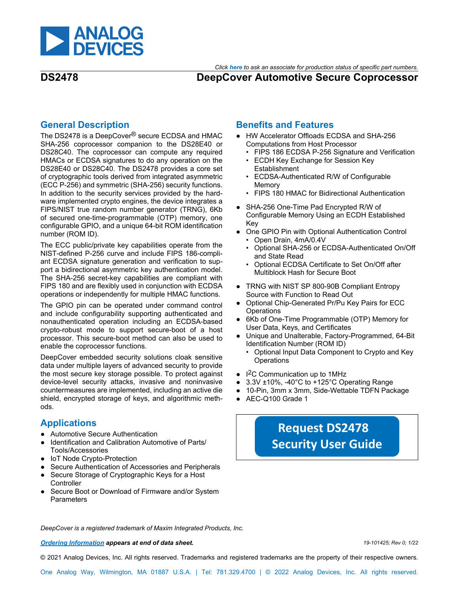

#### *Click [here](https://www.maximintegrated.com/en/storefront/storefront.html) to ask an associate for production status of specific part numbers.*

## **DS2478 DeepCover Automotive Secure Coprocessor**

### **General Description**

The DS2478 is a DeepCover® secure ECDSA and HMAC SHA-256 coprocessor companion to the DS28E40 or DS28C40. The coprocessor can compute any required HMACs or ECDSA signatures to do any operation on the DS28E40 or DS28C40. The DS2478 provides a core set of cryptographic tools derived from integrated asymmetric (ECC P-256) and symmetric (SHA-256) security functions. In addition to the security services provided by the hardware implemented crypto engines, the device integrates a FIPS/NIST true random number generator (TRNG), 6Kb of secured one-time-programmable (OTP) memory, one configurable GPIO, and a unique 64-bit ROM identification number (ROM ID).

The ECC public/private key capabilities operate from the NIST-defined P-256 curve and include FIPS 186-compliant ECDSA signature generation and verification to support a bidirectional asymmetric key authentication model. The SHA-256 secret-key capabilities are compliant with FIPS 180 and are flexibly used in conjunction with ECDSA operations or independently for multiple HMAC functions.

The GPIO pin can be operated under command control and include configurability supporting authenticated and nonauthenticated operation including an ECDSA-based crypto-robust mode to support secure-boot of a host processor. This secure-boot method can also be used to enable the coprocessor functions.

DeepCover embedded security solutions cloak sensitive data under multiple layers of advanced security to provide the most secure key storage possible. To protect against device-level security attacks, invasive and noninvasive countermeasures are implemented, including an active die shield, encrypted storage of keys, and algorithmic methods.

## **Applications**

- Automotive Secure Authentication
- Identification and Calibration Automotive of Parts/ Tools/Accessories
- IoT Node Crypto-Protection
- Secure Authentication of Accessories and Peripherals
- Secure Storage of Cryptographic Keys for a Host **Controller**
- Secure Boot or Download of Firmware and/or System **Parameters**

### **Benefits and Features**

- HW Accelerator Offloads ECDSA and SHA-256 Computations from Host Processor
	- FIPS 186 ECDSA P-256 Signature and Verification
	- ECDH Key Exchange for Session Key Establishment
	- ECDSA-Authenticated R/W of Configurable Memory
	- FIPS 180 HMAC for Bidirectional Authentication
- SHA-256 One-Time Pad Encrypted R/W of Configurable Memory Using an ECDH Established Key
- One GPIO Pin with Optional Authentication Control • Open Drain, 4mA/0.4V
	- Optional SHA-256 or ECDSA-Authenticated On/Off and State Read
	- Optional ECDSA Certificate to Set On/Off after Multiblock Hash for Secure Boot
- TRNG with NIST SP 800-90B Compliant Entropy Source with Function to Read Out
- Optional Chip-Generated Pr/Pu Key Pairs for ECC **Operations**
- 6Kb of One-Time Programmable (OTP) Memory for User Data, Keys, and Certificates
- Unique and Unalterable, Factory-Programmed, 64-Bit Identification Number (ROM ID)
	- Optional Input Data Component to Crypto and Key **Operations**
- I<sup>2</sup>C Communication up to 1MHz
- 3.3V ±10%, -40°C to +125°C Operating Range
- 10-Pin, 3mm x 3mm, Side-Wettable TDFN Package
- AEC-Q100 Grade 1

# **[Request DS2478](https://www.maximintegrated.com/an7555) [Security User Guide](https://www.maximintegrated.com/an7555)**

*DeepCover is a registered trademark of Maxim Integrated Products, Inc.* 

*[Ordering Information](#page-11-0) appears at end of data sheet. 19-101425; Rev 0; 1/22*

© 2021 Analog Devices, Inc. All rights reserved. Trademarks and registered trademarks are the property of their respective owners.

One Analog Way, Wilmington, MA 01887 U.S.A. | Tel: 781.329.4700 | © 2022 Analog Devices, Inc. All rights reserved.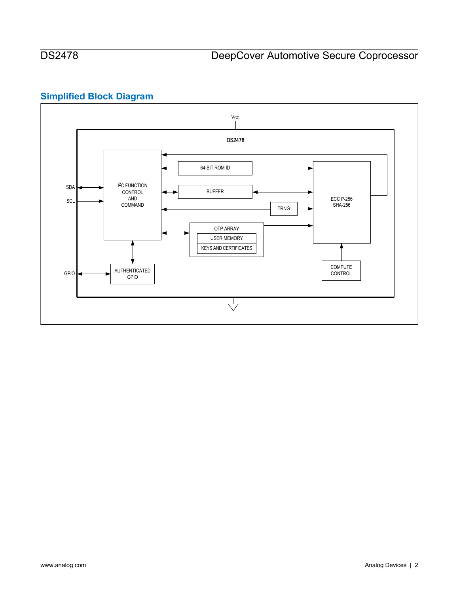## **Simplified Block Diagram**

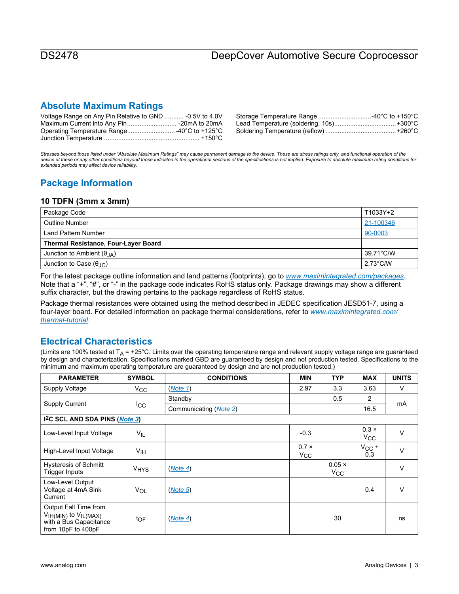# DS2478 DeepCover Automotive Secure Coprocessor

## **Absolute Maximum Ratings**

| Voltage Range on Any Pin Relative to GND  -0.5V to 4.0V |  |
|---------------------------------------------------------|--|
|                                                         |  |
|                                                         |  |
|                                                         |  |

*Stresses beyond those listed under "Absolute Maximum Ratings" may cause permanent damage to the device. These are stress ratings only, and functional operation of the*  device at these or any other conditions beyond those indicated in the operational sections of the specifications is not implied. Exposure to absolute maximum rating conditions for *extended periods may affect device reliability.* 

## **Package Information**

#### **10 TDFN (3mm x 3mm)**

| Package Code                                |                    |  |  |
|---------------------------------------------|--------------------|--|--|
| <b>Outline Number</b><br>21-100346          |                    |  |  |
| 90-0003<br>Land Pattern Number              |                    |  |  |
| <b>Thermal Resistance, Four-Layer Board</b> |                    |  |  |
| Junction to Ambient $(\theta_{IA})$         |                    |  |  |
| Junction to Case $(\theta_{\text{AC}})$     | $2.73^{\circ}$ C/W |  |  |

For the latest package outline information and land patterns (footprints), go to *[www.maximintegrated.com/packages](http://www.maximintegrated.com/packages)*. Note that a "+", "#", or "-" in the package code indicates RoHS status only. Package drawings may show a different suffix character, but the drawing pertains to the package regardless of RoHS status.

Package thermal resistances were obtained using the method described in JEDEC specification JESD51-7, using a four-layer board. For detailed information on package thermal considerations, refer to *[www.maximintegrated.com/](http://www.maximintegrated.com/thermal-tutorial) [thermal-tutorial](http://www.maximintegrated.com/thermal-tutorial)*.

## **Electrical Characteristics**

(Limits are 100% tested at  $T_A$  = +25°C. Limits over the operating temperature range and relevant supply voltage range are guaranteed by design and characterization. Specifications marked GBD are guaranteed by design and not production tested. Specifications to the minimum and maximum operating temperature are guaranteed by design and are not production tested.)

| <b>PARAMETER</b>                                                                                  | <b>SYMBOL</b>          | <b>CONDITIONS</b>      | <b>MIN</b>                   | <b>TYP</b>                    | <b>MAX</b>                   | <b>UNITS</b> |
|---------------------------------------------------------------------------------------------------|------------------------|------------------------|------------------------------|-------------------------------|------------------------------|--------------|
| Supply Voltage                                                                                    | $V_{\rm CC}$           | (Note 1)               | 2.97                         | 3.3                           | 3.63                         | V            |
|                                                                                                   |                        | Standby                |                              | 0.5                           | $\overline{2}$               |              |
| Supply Current                                                                                    | $_{\rm{lcc}}$          | Communicating (Note 2) |                              |                               | 16.5                         | mA           |
| 1 <sup>2</sup> C SCL AND SDA PINS (Note 3)                                                        |                        |                        |                              |                               |                              |              |
| Low-Level Input Voltage                                                                           | $V_{IL}$               |                        | $-0.3$                       |                               | $0.3 \times$<br>$V_{\rm CC}$ | $\vee$       |
| High-Level Input Voltage                                                                          | V <sub>IH</sub>        |                        | $0.7 \times$<br>$V_{\rm CC}$ |                               | $V_{CC}$ +<br>0.3            | $\vee$       |
| <b>Hysteresis of Schmitt</b><br>Trigger Inputs                                                    | <b>V<sub>HYS</sub></b> | (Note 4)               |                              | $0.05 \times$<br>$V_{\rm CC}$ |                              | $\vee$       |
| Low-Level Output<br>Voltage at 4mA Sink<br>Current                                                | <b>VOL</b>             | (Note 5)               |                              |                               | 0.4                          | V            |
| Output Fall Time from<br>$VIH(MIN)$ to $VIL(MAX)$<br>with a Bus Capacitance<br>from 10pF to 400pF | toF                    | (Note 4)               |                              | 30                            |                              | ns           |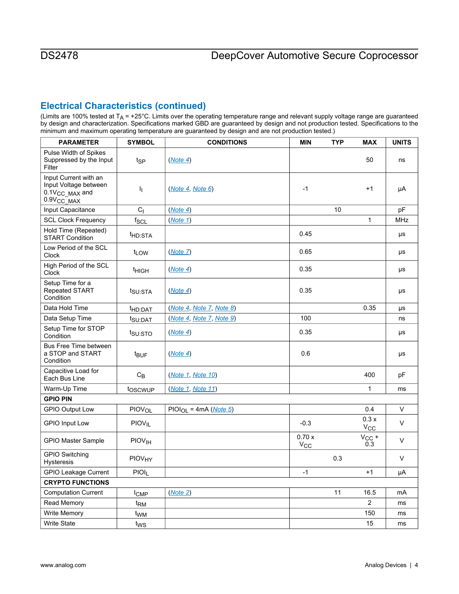## **Electrical Characteristics (continued)**

(Limits are 100% tested at  $T_A$  = +25°C. Limits over the operating temperature range and relevant supply voltage range are guaranteed by design and characterization. Specifications marked GBD are guaranteed by design and not production tested. Specifications to the minimum and maximum operating temperature are guaranteed by design and are not production tested.)

| <b>PARAMETER</b>                                                                                | <b>SYMBOL</b>            | <b>CONDITIONS</b>         | <b>MIN</b>        | <b>TYP</b> | <b>MAX</b>           | <b>UNITS</b> |
|-------------------------------------------------------------------------------------------------|--------------------------|---------------------------|-------------------|------------|----------------------|--------------|
| Pulse Width of Spikes<br>Suppressed by the Input<br>Filter                                      | t <sub>SP</sub>          | (Note 4)                  |                   |            | 50                   | ns           |
| Input Current with an<br>Input Voltage between<br>0.1V <sub>CC</sub> MAX and<br>$0.9V_{CC}$ MAX | <sup>1</sup>             | ( <i>Note 4, Note 6</i> ) | $-1$              |            | $+1$                 | μA           |
| Input Capacitance                                                                               | $C_{1}$                  | (Note 4)                  |                   | 10         |                      | pF           |
| <b>SCL Clock Frequency</b>                                                                      | $f_{SCL}$                | (Note 1)                  |                   |            | 1                    | <b>MHz</b>   |
| Hold Time (Repeated)<br><b>START Condition</b>                                                  | t <sub>HD:STA</sub>      |                           | 0.45              |            |                      | μs           |
| Low Period of the SCL<br>Clock                                                                  | t <sub>LOW</sub>         | (Note 7)                  | 0.65              |            |                      | μs           |
| High Period of the SCL<br>Clock                                                                 | <sup>t</sup> HIGH        | (Note 4)                  | 0.35              |            |                      | μs           |
| Setup Time for a<br>Repeated START<br>Condition                                                 | t <sub>SU:STA</sub>      | (Note 4)                  | 0.35              |            |                      | μs           |
| Data Hold Time                                                                                  | t <sub>HD:DAT</sub>      | (Note 4, Note 7, Note 8)  |                   |            | 0.35                 | μs           |
| Data Setup Time                                                                                 | t <sub>SU:DAT</sub>      | (Note 4, Note 7, Note 9)  | 100               |            |                      | ns           |
| Setup Time for STOP<br>Condition                                                                | t <sub>su:STO</sub>      | (Note 4)                  | 0.35              |            |                      | μs           |
| Bus Free Time between<br>a STOP and START<br>Condition                                          | t <sub>BUF</sub>         | (Note 4)                  | 0.6               |            |                      | μs           |
| Capacitive Load for<br>Each Bus Line                                                            | $C_B$                    | (Note 1, Note 10)         |                   |            | 400                  | pF           |
| Warm-Up Time                                                                                    | toscwup                  | (Note 1, Note 11)         |                   |            | 1                    | ms           |
| <b>GPIO PIN</b>                                                                                 |                          |                           |                   |            |                      |              |
| <b>GPIO Output Low</b>                                                                          | <b>PIOVOL</b>            | $PIOIOOL = 4mA (Note 5)$  |                   |            | 0.4                  | $\vee$       |
| <b>GPIO Input Low</b>                                                                           | PIOV <sub>IL</sub>       |                           | $-0.3$            |            | 0.3x<br>$V_{\rm CC}$ | V            |
| <b>GPIO Master Sample</b>                                                                       | <b>PIOV<sub>IH</sub></b> |                           | 0.70x<br>$V_{CC}$ |            | $V_{CC}$ +<br>0.3    | $\vee$       |
| <b>GPIO Switching</b><br><b>Hysteresis</b>                                                      | PIOVHY                   |                           |                   | 0.3        |                      | V            |
| <b>GPIO Leakage Current</b>                                                                     | $PIOI_L$                 |                           | $-1$              |            | $+1$                 | $\mu A$      |
| <b>CRYPTO FUNCTIONS</b>                                                                         |                          |                           |                   |            |                      |              |
| <b>Computation Current</b>                                                                      | $I_{\mathsf{CMP}}$       | (Note 2)                  |                   | 11         | 16.5                 | mA           |
| Read Memory                                                                                     | t <sub>RM</sub>          |                           |                   |            | $\overline{2}$       | ms           |
| Write Memory                                                                                    | t <sub>WM</sub>          |                           |                   |            | 150                  | ms           |
| Write State                                                                                     | t <sub>WS</sub>          |                           |                   |            | 15                   | ms           |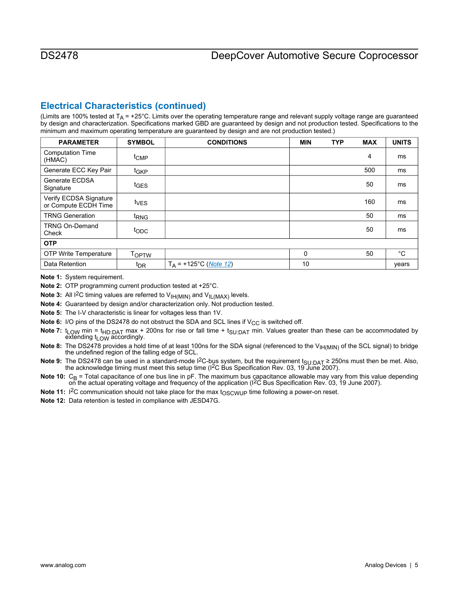## **Electrical Characteristics (continued)**

(Limits are 100% tested at  $T_A$  = +25°C. Limits over the operating temperature range and relevant supply voltage range are guaranteed by design and characterization. Specifications marked GBD are guaranteed by design and not production tested. Specifications to the minimum and maximum operating temperature are guaranteed by design and are not production tested.)

| <b>PARAMETER</b>                               | <b>SYMBOL</b>     | <b>CONDITIONS</b>                 | <b>MIN</b> | <b>TYP</b> | <b>MAX</b> | <b>UNITS</b> |
|------------------------------------------------|-------------------|-----------------------------------|------------|------------|------------|--------------|
| <b>Computation Time</b><br>(HMAC)              | t <sub>CMP</sub>  |                                   |            |            | 4          | ms           |
| Generate ECC Key Pair                          | t <sub>GKP</sub>  |                                   |            |            | 500        | ms           |
| Generate ECDSA<br>Signature                    | t <sub>GES</sub>  |                                   |            |            | 50         | ms           |
| Verify ECDSA Signature<br>or Compute ECDH Time | t <sub>VES</sub>  |                                   |            |            | 160        | ms           |
| <b>TRNG Generation</b>                         | <sup>t</sup> RNG  |                                   |            |            | 50         | ms           |
| <b>TRNG On-Demand</b><br>Check                 | topc              |                                   |            |            | 50         | ms           |
| <b>OTP</b>                                     |                   |                                   |            |            |            |              |
| <b>OTP Write Temperature</b>                   | T <sub>OPTW</sub> |                                   | 0          |            | 50         | $^{\circ}C$  |
| Data Retention                                 | t <sub>DR</sub>   | $T_A$ = +125°C ( <i>Note 12</i> ) | 10         |            |            | years        |

<span id="page-4-0"></span>**Note 1:** System requirement.

<span id="page-4-1"></span>**Note 2:** OTP programming current production tested at +25°C.

<span id="page-4-2"></span>**Note 3:** All I<sup>2</sup>C timing values are referred to V<sub>IH(MIN)</sub> and V<sub>IL(MAX)</sub> levels.

<span id="page-4-3"></span>**Note 4:** Guaranteed by design and/or characterization only. Not production tested.

<span id="page-4-4"></span>**Note 5:** The I-V characteristic is linear for voltages less than 1V.

<span id="page-4-5"></span>**Note 6:** I/O pins of the DS2478 do not obstruct the SDA and SCL lines if  $V_{CC}$  is switched off.

<span id="page-4-6"></span>Note 7: t<sub>LOW</sub> min = t<sub>HD:DAT</sub> max + 200ns for rise or fall time + t<sub>SU:DAT</sub> min. Values greater than these can be accommodated by extending  $t_{LOW}$  accordingly.

<span id="page-4-7"></span>Note 8: The DS2478 provides a hold time of at least 100ns for the SDA signal (referenced to the V<sub>IH(MIN)</sub> of the SCL signal) to bridge the undefined region of the falling edge of SCL.

<span id="page-4-8"></span>**Note 9:** The DS2478 can be used in a standard-mode I<sup>2</sup>C-bus system, but the requirement t<sub>SU:DAT</sub> ≥ 250ns must then be met. Also, the acknowledge timing must meet this setup time (I2C Bus Specification Rev. 03, 19 June 2007).

<span id="page-4-9"></span>Note 10:  $C_B$  = Total capacitance of one bus line in pF. The maximum bus capacitance allowable may vary from this value depending on the actual operating voltage and frequency of the application ( ${}^{12}$ C Bus Specificatio

Note 11: I<sup>2</sup>C communication should not take place for the max t<sub>OSCWUP</sub> time following a power-on reset.

<span id="page-4-11"></span><span id="page-4-10"></span>**Note 12:** Data retention is tested in compliance with JESD47G.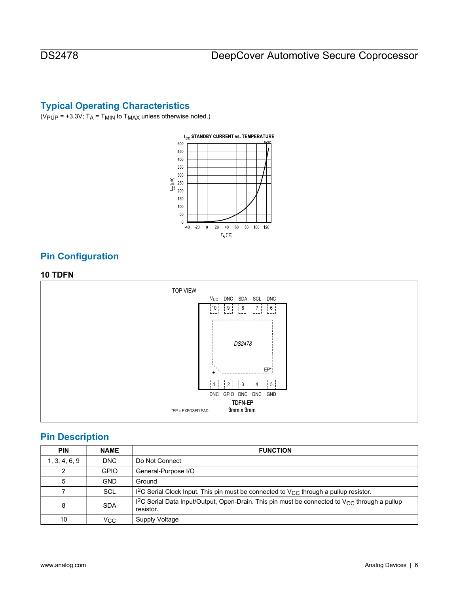## **Typical Operating Characteristics**

( $V_{\text{PUP}}$  = +3.3V;  $T_A$  =  $T_{\text{MIN}}$  to  $T_{\text{MAX}}$  unless otherwise noted.)



## **Pin Configuration**

#### **10 TDFN**



## **Pin Description**

| <b>PIN</b>    | <b>NAME</b> | <b>FUNCTION</b>                                                                                                             |
|---------------|-------------|-----------------------------------------------------------------------------------------------------------------------------|
| 1, 3, 4, 6, 9 | <b>DNC</b>  | Do Not Connect                                                                                                              |
| 2             | <b>GPIO</b> | General-Purpose I/O                                                                                                         |
| 5             | <b>GND</b>  | Ground                                                                                                                      |
|               | <b>SCL</b>  | I <sup>2</sup> C Serial Clock Input. This pin must be connected to $V_{CC}$ through a pullup resistor.                      |
| 8             | <b>SDA</b>  | I <sup>2</sup> C Serial Data Input/Output, Open-Drain. This pin must be connected to $V_{CC}$ through a pullup<br>resistor. |
| 10            | Vcc         | Supply Voltage                                                                                                              |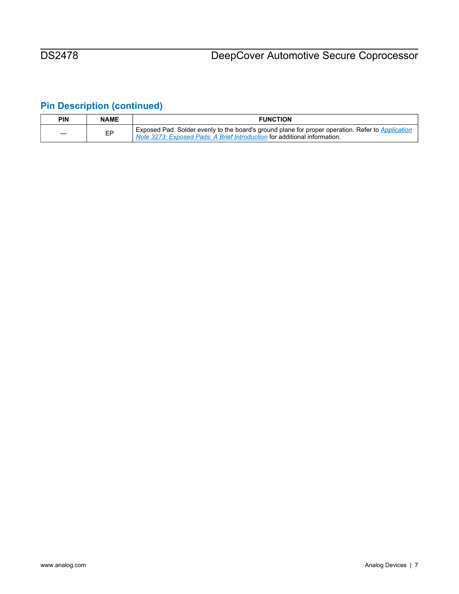# **Pin Description (continued)**

| <b>PIN</b> | <b>NAME</b> | <b>FUNCTION</b>                                                                                                                                                                |
|------------|-------------|--------------------------------------------------------------------------------------------------------------------------------------------------------------------------------|
|            | EP          | Exposed Pad. Solder evenly to the board's ground plane for proper operation. Refer to Application<br>Note 3273: Exposed Pads: A Brief Introduction for additional information. |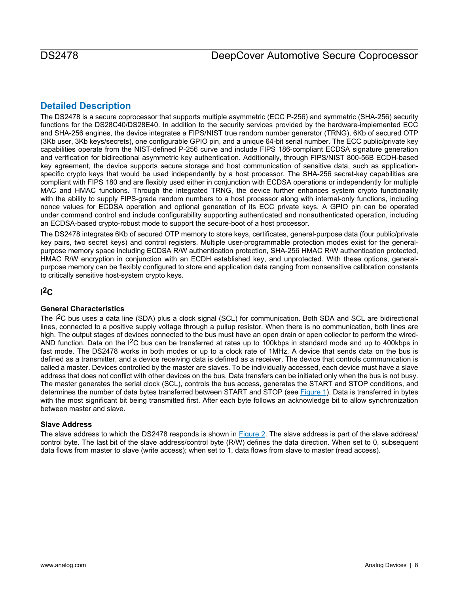## **Detailed Description**

The DS2478 is a secure coprocessor that supports multiple asymmetric (ECC P-256) and symmetric (SHA-256) security functions for the DS28C40/DS28E40. In addition to the security services provided by the hardware-implemented ECC and SHA-256 engines, the device integrates a FIPS/NIST true random number generator (TRNG), 6Kb of secured OTP (3Kb user, 3Kb keys/secrets), one configurable GPIO pin, and a unique 64-bit serial number. The ECC public/private key capabilities operate from the NIST-defined P-256 curve and include FIPS 186-compliant ECDSA signature generation and verification for bidirectional asymmetric key authentication. Additionally, through FIPS/NIST 800-56B ECDH-based key agreement, the device supports secure storage and host communication of sensitive data, such as applicationspecific crypto keys that would be used independently by a host processor. The SHA-256 secret-key capabilities are compliant with FIPS 180 and are flexibly used either in conjunction with ECDSA operations or independently for multiple MAC and HMAC functions. Through the integrated TRNG, the device further enhances system crypto functionality with the ability to supply FIPS-grade random numbers to a host processor along with internal-only functions, including nonce values for ECDSA operation and optional generation of its ECC private keys. A GPIO pin can be operated under command control and include configurability supporting authenticated and nonauthenticated operation, including an ECDSA-based crypto-robust mode to support the secure-boot of a host processor.

The DS2478 integrates 6Kb of secured OTP memory to store keys, certificates, general-purpose data (four public/private key pairs, two secret keys) and control registers. Multiple user-programmable protection modes exist for the generalpurpose memory space including ECDSA R/W authentication protection, SHA-256 HMAC R/W authentication protected, HMAC R/W encryption in conjunction with an ECDH established key, and unprotected. With these options, generalpurpose memory can be flexibly configured to store end application data ranging from nonsensitive calibration constants to critically sensitive host-system crypto keys.

## **I 2C**

### **General Characteristics**

The I<sup>2</sup>C bus uses a data line (SDA) plus a clock signal (SCL) for communication. Both SDA and SCL are bidirectional lines, connected to a positive supply voltage through a pullup resistor. When there is no communication, both lines are high. The output stages of devices connected to the bus must have an open drain or open collector to perform the wired-AND function. Data on the I<sup>2</sup>C bus can be transferred at rates up to 100kbps in standard mode and up to 400kbps in fast mode. The DS2478 works in both modes or up to a clock rate of 1MHz. A device that sends data on the bus is defined as a transmitter, and a device receiving data is defined as a receiver. The device that controls communication is called a master. Devices controlled by the master are slaves. To be individually accessed, each device must have a slave address that does not conflict with other devices on the bus. Data transfers can be initiated only when the bus is not busy. The master generates the serial clock (SCL), controls the bus access, generates the START and STOP conditions, and determines the number of data bytes transferred between START and STOP (see [Figure 1\)](#page-8-0). Data is transferred in bytes with the most significant bit being transmitted first. After each byte follows an acknowledge bit to allow synchronization between master and slave.

#### **Slave Address**

The slave address to which the DS2478 responds is shown in [Figure 2.](#page-8-1) The slave address is part of the slave address/ control byte. The last bit of the slave address/control byte (R/W) defines the data direction. When set to 0, subsequent data flows from master to slave (write access); when set to 1, data flows from slave to master (read access).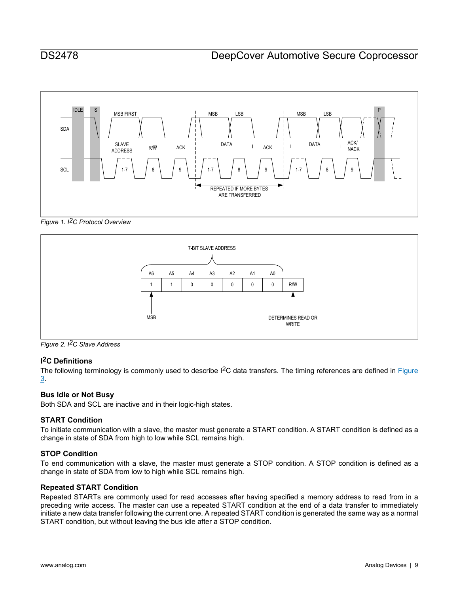<span id="page-8-0"></span>

*Figure 1. I2C Protocol Overview* 

<span id="page-8-1"></span>

*Figure 2. I2C Slave Address* 

### **I 2C Definitions**

The following terminology is commonly used to describe I<sup>2</sup>C data transfers. The timing references are defined in **Figure** [3](#page-9-0).

### **Bus Idle or Not Busy**

Both SDA and SCL are inactive and in their logic-high states.

### **START Condition**

To initiate communication with a slave, the master must generate a START condition. A START condition is defined as a change in state of SDA from high to low while SCL remains high.

### **STOP Condition**

To end communication with a slave, the master must generate a STOP condition. A STOP condition is defined as a change in state of SDA from low to high while SCL remains high.

### **Repeated START Condition**

Repeated STARTs are commonly used for read accesses after having specified a memory address to read from in a preceding write access. The master can use a repeated START condition at the end of a data transfer to immediately initiate a new data transfer following the current one. A repeated START condition is generated the same way as a normal START condition, but without leaving the bus idle after a STOP condition.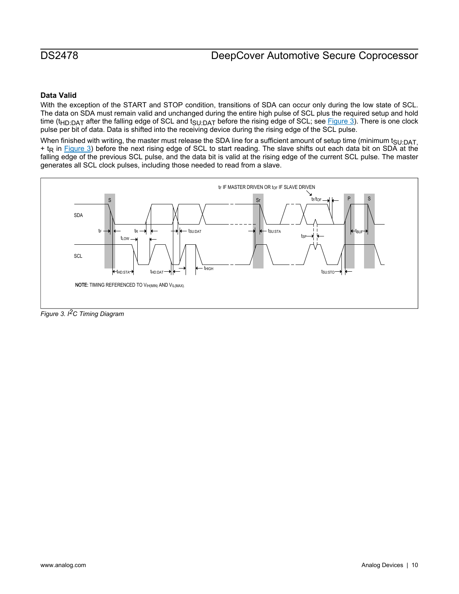# DS2478 DeepCover Automotive Secure Coprocessor

#### **Data Valid**

With the exception of the START and STOP condition, transitions of SDA can occur only during the low state of SCL. The data on SDA must remain valid and unchanged during the entire high pulse of SCL plus the required setup and hold time ( $t_{HD:DAT}$  after the falling edge of SCL and  $t_{SU:DAT}$  before the rising edge of SCL; see [Figure 3](#page-9-0)). There is one clock pulse per bit of data. Data is shifted into the receiving device during the rising edge of the SCL pulse.

When finished with writing, the master must release the SDA line for a sufficient amount of setup time (minimum t<sub>SU:DAT</sub>, + t<sub>R</sub> in [Figure 3](#page-9-0)) before the next rising edge of SCL to start reading. The slave shifts out each data bit on SDA at the falling edge of the previous SCL pulse, and the data bit is valid at the rising edge of the current SCL pulse. The master generates all SCL clock pulses, including those needed to read from a slave.

<span id="page-9-0"></span>

*Figure 3. I2C Timing Diagram*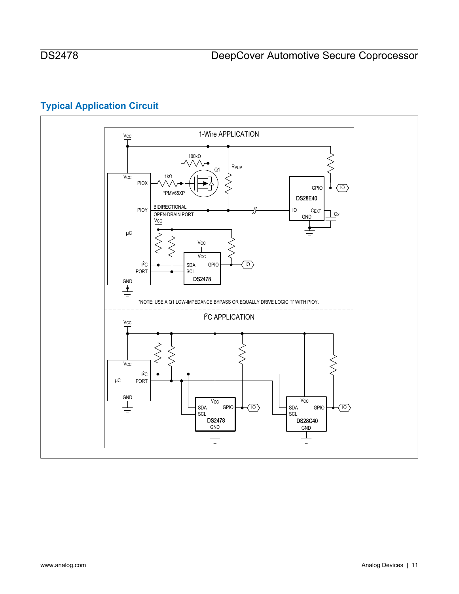# **Typical Application Circuit**

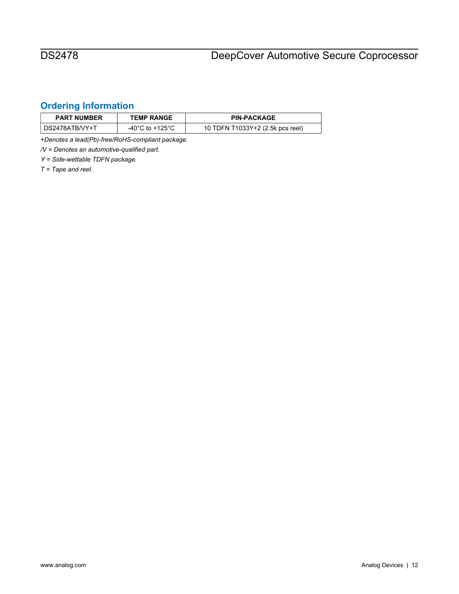# <span id="page-11-0"></span>**Ordering Information**

| <b>PART NUMBER</b> | <b>TEMP RANGE</b> | <b>PIN-PACKAGE</b>               |
|--------------------|-------------------|----------------------------------|
| DS2478ATB/VY+T     | -40°C to +125°C   | 10 TDFN T1033Y+2 (2.5k pcs reel) |

*+Denotes a lead(Pb)-free/RoHS-compliant package.* 

*/V = Denotes an automotive-qualified part.* 

*Y = Side-wettable TDFN package.* 

*T = Tape and reel.*